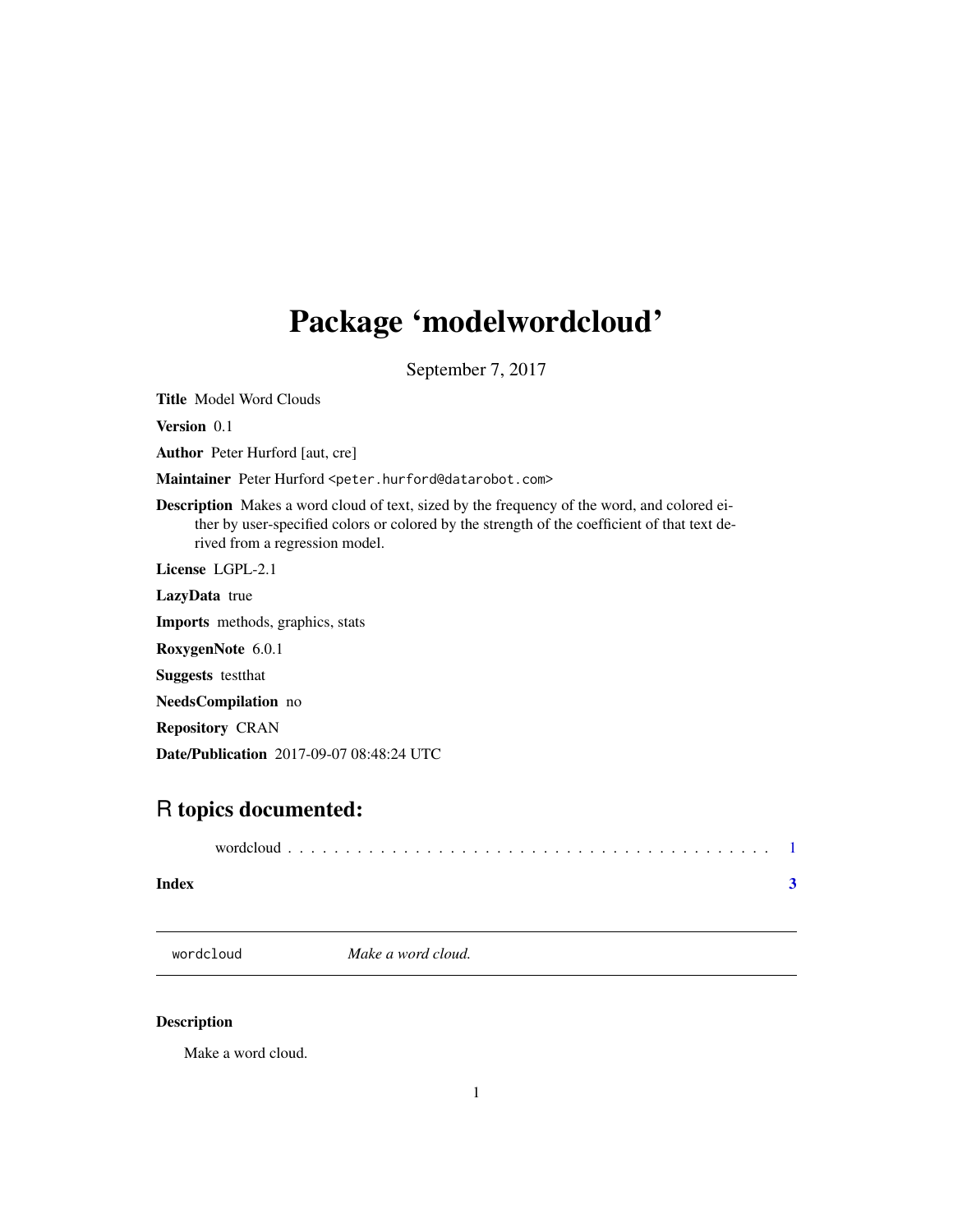## <span id="page-0-0"></span>Package 'modelwordcloud'

September 7, 2017

Title Model Word Clouds

Version 0.1

Author Peter Hurford [aut, cre]

Maintainer Peter Hurford <peter.hurford@datarobot.com>

Description Makes a word cloud of text, sized by the frequency of the word, and colored either by user-specified colors or colored by the strength of the coefficient of that text derived from a regression model.

License LGPL-2.1

LazyData true

Imports methods, graphics, stats

RoxygenNote 6.0.1

Suggests testthat

NeedsCompilation no

Repository CRAN

Date/Publication 2017-09-07 08:48:24 UTC

### R topics documented:

| Index |  |
|-------|--|

wordcloud *Make a word cloud.*

#### Description

Make a word cloud.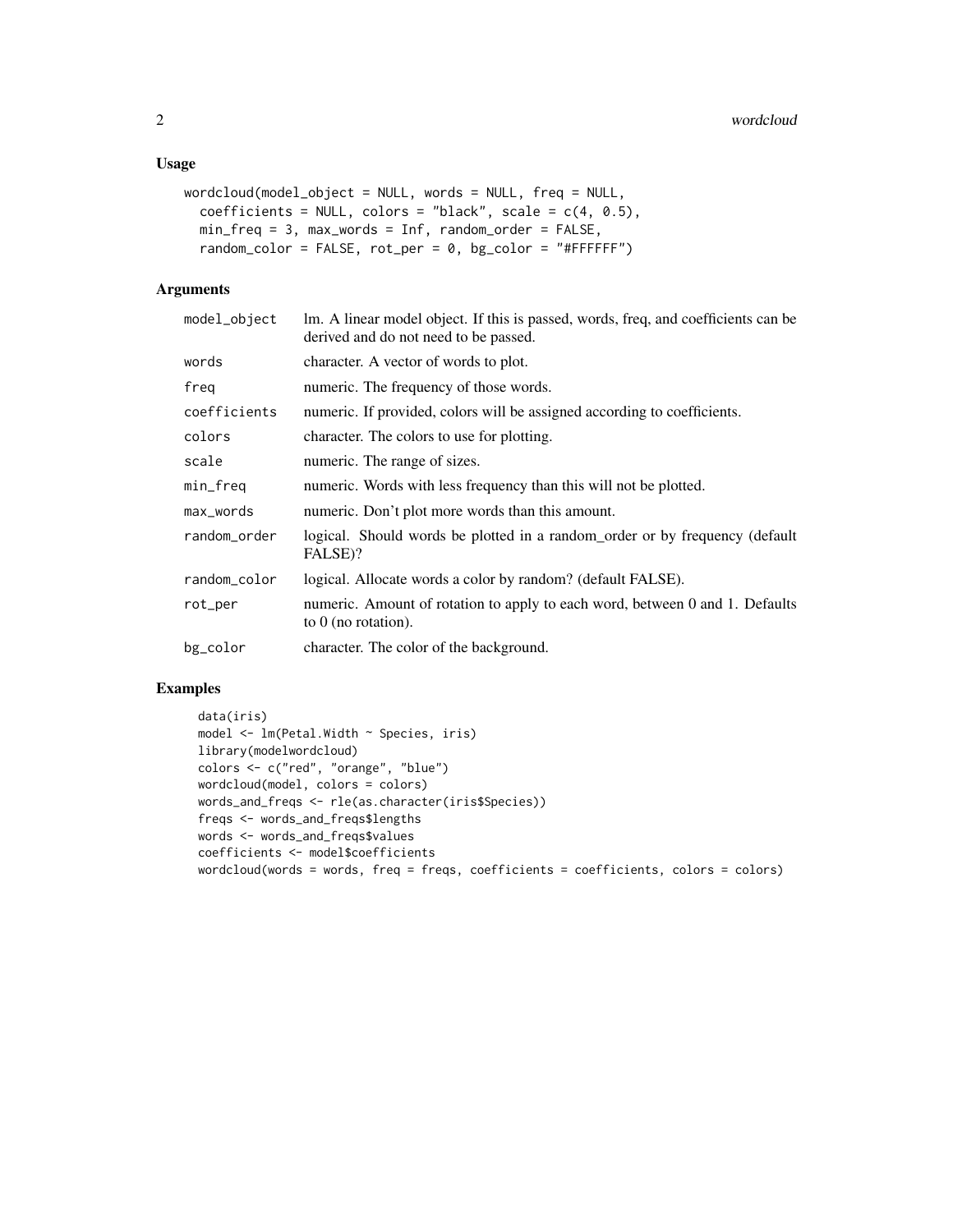#### Usage

```
wordcloud(model_object = NULL, words = NULL, freq = NULL,
 coefficients = NULL, colors = "black", scale = c(4, 0.5),
 min_freq = 3, max_words = Inf, random_order = FALSE,
  random_color = FALSE, rot_per = 0, bg_color = "#FFFFFF")
```
#### Arguments

| model_object | lm. A linear model object. If this is passed, words, freq, and coefficients can be<br>derived and do not need to be passed. |
|--------------|-----------------------------------------------------------------------------------------------------------------------------|
| words        | character. A vector of words to plot.                                                                                       |
| freq         | numeric. The frequency of those words.                                                                                      |
| coefficients | numeric. If provided, colors will be assigned according to coefficients.                                                    |
| colors       | character. The colors to use for plotting.                                                                                  |
| scale        | numeric. The range of sizes.                                                                                                |
| min_freq     | numeric. Words with less frequency than this will not be plotted.                                                           |
| max_words    | numeric. Don't plot more words than this amount.                                                                            |
| random_order | logical. Should words be plotted in a random order or by frequency (default<br>FALSE)?                                      |
| random_color | logical. Allocate words a color by random? (default FALSE).                                                                 |
| rot_per      | numeric. Amount of rotation to apply to each word, between 0 and 1. Defaults<br>to $0$ (no rotation).                       |
| bg_color     | character. The color of the background.                                                                                     |

#### Examples

```
data(iris)
model <- lm(Petal.Width ~ Species, iris)
library(modelwordcloud)
colors <- c("red", "orange", "blue")
wordcloud(model, colors = colors)
words_and_freqs <- rle(as.character(iris$Species))
freqs <- words_and_freqs$lengths
words <- words_and_freqs$values
coefficients <- model$coefficients
wordcloud(words = words, freq = freqs, coefficients = coefficients, colors = colors)
```